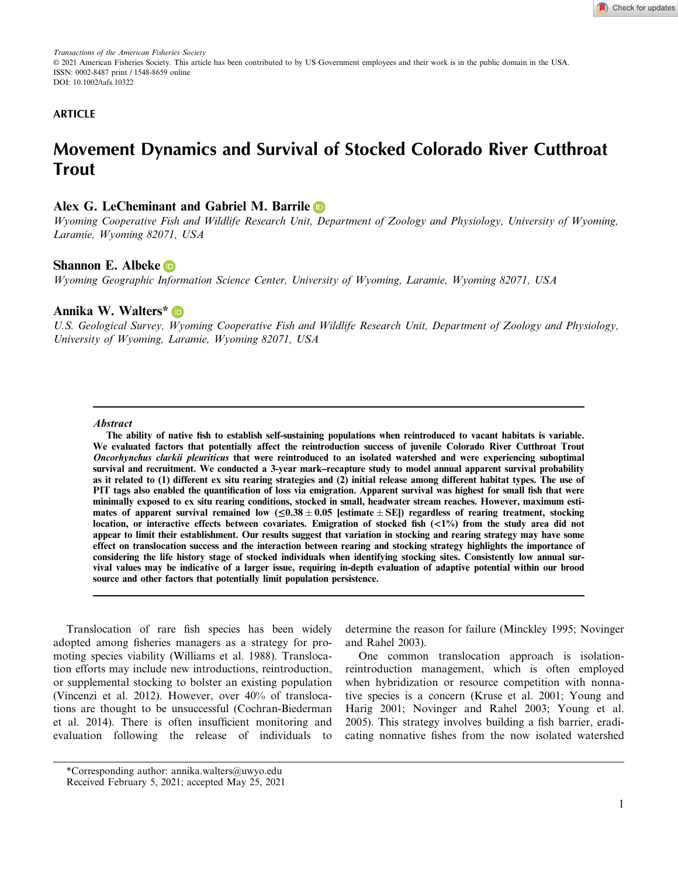*Transactions of the American Fisheries Society* © 2021 American Fisheries Society. This article has been contributed to by US Government employees and their work is in the public domain in the USA. ISSN: 0002-8487 print / 1548-8659 online DOI: 10.1002/tafs.10322

## **ARTICLE**

# **Movement Dynamics and Survival of Stocked Colorado River Cutthroat Trout**

# **Alex G. LeCheminant and Gabriel M. Barril[e](https://orcid.org/0000-0003-2632-9034)**

*Wyoming Cooperative Fish and Wildlife Research Unit, Department of Zoology and Physiology, University of Wyoming, Laramie, Wyoming 82071, USA*

# **Shannon E. Albeke**

*Wyoming Geographic Information Science Center, University of Wyoming, Laramie, Wyoming 82071, USA*

# **Annika W. Walters[\\*](https://orcid.org/0000-0002-8638-6682)**

*U.S. Geological Survey, Wyoming Cooperative Fish and Wildlife Research Unit, Department of Zoology and Physiology, University of Wyoming, Laramie, Wyoming 82071, USA*

#### **Abstract**

**The ability of native fish to establish self-sustaining populations when reintroduced to vacant habitats is variable. We evaluated factors that potentially affect the reintroduction success of juvenile Colorado River Cutthroat Trout Oncorhynchus clarkii pleuriticus that were reintroduced to an isolated watershed and were experiencing suboptimal survival and recruitment. We conducted a 3-year mark–recapture study to model annual apparent survival probability as it related to (1) different ex situ rearing strategies and (2) initial release among different habitat types. The use of PIT tags also enabled the quantification of loss via emigration. Apparent survival was highest for small fish that were minimally exposed to ex situ rearing conditions, stocked in small, headwater stream reaches. However, maximum esti**mates of apparent survival remained low  $(\leq 0.38 \pm 0.05$  [estimate  $\pm$  SE]) regardless of rearing treatment, stocking **location, or interactive effects between covariates. Emigration of stocked fish (<1%) from the study area did not appear to limit their establishment. Our results suggest that variation in stocking and rearing strategy may have some effect on translocation success and the interaction between rearing and stocking strategy highlights the importance of considering the life history stage of stocked individuals when identifying stocking sites. Consistently low annual survival values may be indicative of a larger issue, requiring in-depth evaluation of adaptive potential within our brood source and other factors that potentially limit population persistence.**

Translocation of rare fish species has been widely adopted among fisheries managers as a strategy for promoting species viability (Williams et al. 1988). Translocation efforts may include new introductions, reintroduction, or supplemental stocking to bolster an existing population (Vincenzi et al. 2012). However, over 40% of translocations are thought to be unsuccessful (Cochran-Biederman et al. 2014). There is often insufficient monitoring and evaluation following the release of individuals to determine the reason for failure (Minckley 1995; Novinger and Rahel 2003).

One common translocation approach is isolationreintroduction management, which is often employed when hybridization or resource competition with nonnative species is a concern (Kruse et al. 2001; Young and Harig 2001; Novinger and Rahel 2003; Young et al. 2005). This strategy involves building a fish barrier, eradicating nonnative fishes from the now isolated watershed

<sup>\*</sup>Corresponding author: [annika.walters@uwyo.edu](mailto:) Received February 5, 2021; accepted May 25, 2021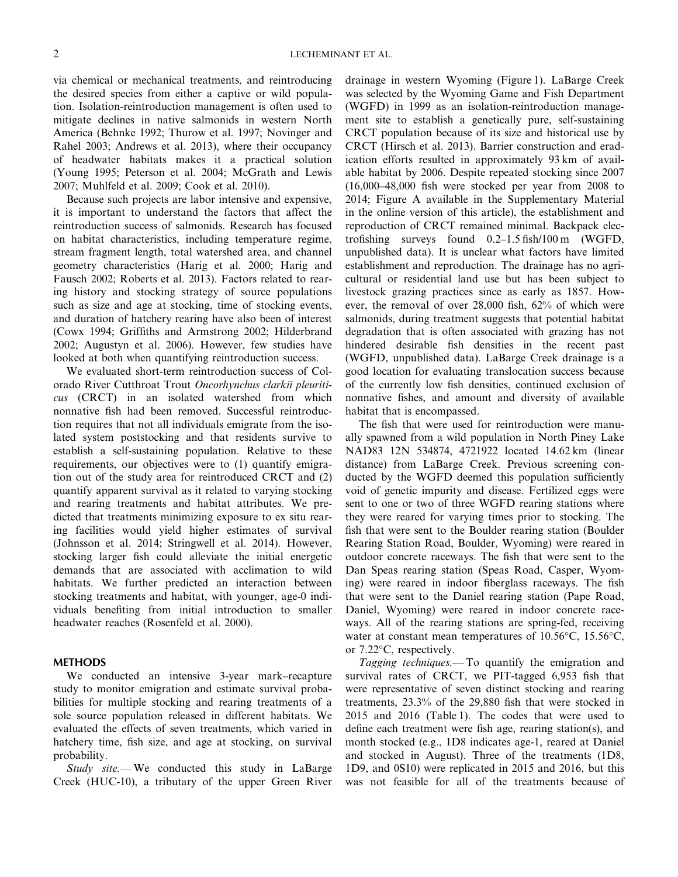via chemical or mechanical treatments, and reintroducing the desired species from either a captive or wild population. Isolation-reintroduction management is often used to mitigate declines in native salmonids in western North America (Behnke 1992; Thurow et al. 1997; Novinger and Rahel 2003; Andrews et al. 2013), where their occupancy of headwater habitats makes it a practical solution (Young 1995; Peterson et al. 2004; McGrath and Lewis 2007; Muhlfeld et al. 2009; Cook et al. 2010).

Because such projects are labor intensive and expensive, it is important to understand the factors that affect the reintroduction success of salmonids. Research has focused on habitat characteristics, including temperature regime, stream fragment length, total watershed area, and channel geometry characteristics (Harig et al. 2000; Harig and Fausch 2002; Roberts et al. 2013). Factors related to rearing history and stocking strategy of source populations such as size and age at stocking, time of stocking events, and duration of hatchery rearing have also been of interest (Cowx 1994; Griffiths and Armstrong 2002; Hilderbrand 2002; Augustyn et al. 2006). However, few studies have looked at both when quantifying reintroduction success.

We evaluated short-term reintroduction success of Colorado River Cutthroat Trout *Oncorhynchus clarkii pleuriticus* (CRCT) in an isolated watershed from which nonnative fish had been removed. Successful reintroduction requires that not all individuals emigrate from the isolated system poststocking and that residents survive to establish a self-sustaining population. Relative to these requirements, our objectives were to (1) quantify emigration out of the study area for reintroduced CRCT and (2) quantify apparent survival as it related to varying stocking and rearing treatments and habitat attributes. We predicted that treatments minimizing exposure to ex situ rearing facilities would yield higher estimates of survival (Johnsson et al. 2014; Stringwell et al. 2014). However, stocking larger fish could alleviate the initial energetic demands that are associated with acclimation to wild habitats. We further predicted an interaction between stocking treatments and habitat, with younger, age-0 individuals benefiting from initial introduction to smaller headwater reaches (Rosenfeld et al. 2000).

## **METHODS**

We conducted an intensive 3-year mark–recapture study to monitor emigration and estimate survival probabilities for multiple stocking and rearing treatments of a sole source population released in different habitats. We evaluated the effects of seven treatments, which varied in hatchery time, fish size, and age at stocking, on survival probability.

*Study site.—* We conducted this study in LaBarge Creek (HUC-10), a tributary of the upper Green River drainage in western Wyoming (Figure 1). LaBarge Creek was selected by the Wyoming Game and Fish Department (WGFD) in 1999 as an isolation-reintroduction management site to establish a genetically pure, self-sustaining CRCT population because of its size and historical use by CRCT (Hirsch et al. 2013). Barrier construction and eradication efforts resulted in approximately 93 km of available habitat by 2006. Despite repeated stocking since 2007 (16,000–48,000 fish were stocked per year from 2008 to 2014; Figure A available in the Supplementary Material in the online version of this article), the establishment and reproduction of CRCT remained minimal. Backpack electrofishing surveys found 0.2–1.5 fish/100 m (WGFD, unpublished data). It is unclear what factors have limited establishment and reproduction. The drainage has no agricultural or residential land use but has been subject to livestock grazing practices since as early as 1857. However, the removal of over 28,000 fish, 62% of which were salmonids, during treatment suggests that potential habitat degradation that is often associated with grazing has not hindered desirable fish densities in the recent past (WGFD, unpublished data). LaBarge Creek drainage is a good location for evaluating translocation success because of the currently low fish densities, continued exclusion of nonnative fishes, and amount and diversity of available habitat that is encompassed.

The fish that were used for reintroduction were manually spawned from a wild population in North Piney Lake NAD83 12N 534874, 4721922 located 14.62 km (linear distance) from LaBarge Creek. Previous screening conducted by the WGFD deemed this population sufficiently void of genetic impurity and disease. Fertilized eggs were sent to one or two of three WGFD rearing stations where they were reared for varying times prior to stocking. The fish that were sent to the Boulder rearing station (Boulder Rearing Station Road, Boulder, Wyoming) were reared in outdoor concrete raceways. The fish that were sent to the Dan Speas rearing station (Speas Road, Casper, Wyoming) were reared in indoor fiberglass raceways. The fish that were sent to the Daniel rearing station (Pape Road, Daniel, Wyoming) were reared in indoor concrete raceways. All of the rearing stations are spring-fed, receiving water at constant mean temperatures of 10.56°C, 15.56°C, or 7.22°C, respectively.

*Tagging techniques.—* To quantify the emigration and survival rates of CRCT, we PIT-tagged 6,953 fish that were representative of seven distinct stocking and rearing treatments, 23.3% of the 29,880 fish that were stocked in 2015 and 2016 (Table 1). The codes that were used to define each treatment were fish age, rearing station(s), and month stocked (e.g., 1D8 indicates age-1, reared at Daniel and stocked in August). Three of the treatments (1D8, 1D9, and 0S10) were replicated in 2015 and 2016, but this was not feasible for all of the treatments because of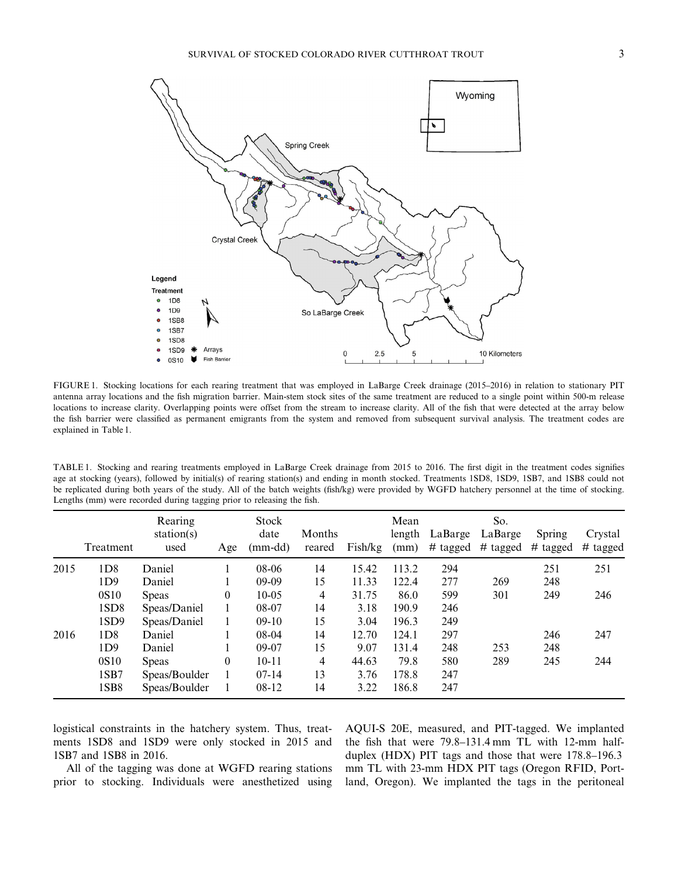

FIGURE 1. Stocking locations for each rearing treatment that was employed in LaBarge Creek drainage (2015–2016) in relation to stationary PIT antenna array locations and the fish migration barrier. Main-stem stock sites of the same treatment are reduced to a single point within 500-m release locations to increase clarity. Overlapping points were offset from the stream to increase clarity. All of the fish that were detected at the array below the fish barrier were classified as permanent emigrants from the system and removed from subsequent survival analysis. The treatment codes are explained in Table 1.

TABLE 1. Stocking and rearing treatments employed in LaBarge Creek drainage from 2015 to 2016. The first digit in the treatment codes signifies age at stocking (years), followed by initial(s) of rearing station(s) and ending in month stocked. Treatments 1SD8, 1SD9, 1SB7, and 1SB8 could not be replicated during both years of the study. All of the batch weights (fish/kg) were provided by WGFD hatchery personnel at the time of stocking. Lengths (mm) were recorded during tagging prior to releasing the fish.

|      | Treatment        | Rearing<br>station(s)<br>used | Age          | <b>Stock</b><br>date<br>$(mm-dd)$ | Months<br>reared | Fish/kg | Mean<br>length<br>(mm) | LaBarge<br># tagged | So.<br>LaBarge<br># tagged | Spring<br>$#$ tagged | Crystal<br># tagged |
|------|------------------|-------------------------------|--------------|-----------------------------------|------------------|---------|------------------------|---------------------|----------------------------|----------------------|---------------------|
| 2015 | 1D8              | Daniel                        |              | $08-06$                           | 14               | 15.42   | 113.2                  | 294                 |                            | 251                  | 251                 |
|      | 1D9              | Daniel                        |              | $09-09$                           | 15               | 11.33   | 122.4                  | 277                 | 269                        | 248                  |                     |
|      | 0S <sub>10</sub> | <b>Speas</b>                  | $\theta$     | $10-0.5$                          | 4                | 31.75   | 86.0                   | 599                 | 301                        | 249                  | 246                 |
|      | 1SD <sub>8</sub> | Speas/Daniel                  |              | 08-07                             | 14               | 3.18    | 190.9                  | 246                 |                            |                      |                     |
|      | 1SD <sub>9</sub> | Speas/Daniel                  | $\mathbf{1}$ | $09-10$                           | 15               | 3.04    | 196.3                  | 249                 |                            |                      |                     |
| 2016 | 1D8              | Daniel                        |              | $08-04$                           | 14               | 12.70   | 124.1                  | 297                 |                            | 246                  | 247                 |
|      | 1D9              | Daniel                        |              | $09-07$                           | 15               | 9.07    | 131.4                  | 248                 | 253                        | 248                  |                     |
|      | 0S <sub>10</sub> | <b>Speas</b>                  | $\theta$     | $10 - 11$                         | 4                | 44.63   | 79.8                   | 580                 | 289                        | 245                  | 244                 |
|      | 1SB7             | Speas/Boulder                 |              | $07-14$                           | 13               | 3.76    | 178.8                  | 247                 |                            |                      |                     |
|      | 1SB <sub>8</sub> | Speas/Boulder                 |              | $08-12$                           | 14               | 3.22    | 186.8                  | 247                 |                            |                      |                     |

logistical constraints in the hatchery system. Thus, treatments 1SD8 and 1SD9 were only stocked in 2015 and 1SB7 and 1SB8 in 2016.

All of the tagging was done at WGFD rearing stations prior to stocking. Individuals were anesthetized using AQUI-S 20E, measured, and PIT-tagged. We implanted the fish that were 79.8–131.4 mm TL with 12-mm halfduplex (HDX) PIT tags and those that were 178.8–196.3 mm TL with 23-mm HDX PIT tags (Oregon RFID, Portland, Oregon). We implanted the tags in the peritoneal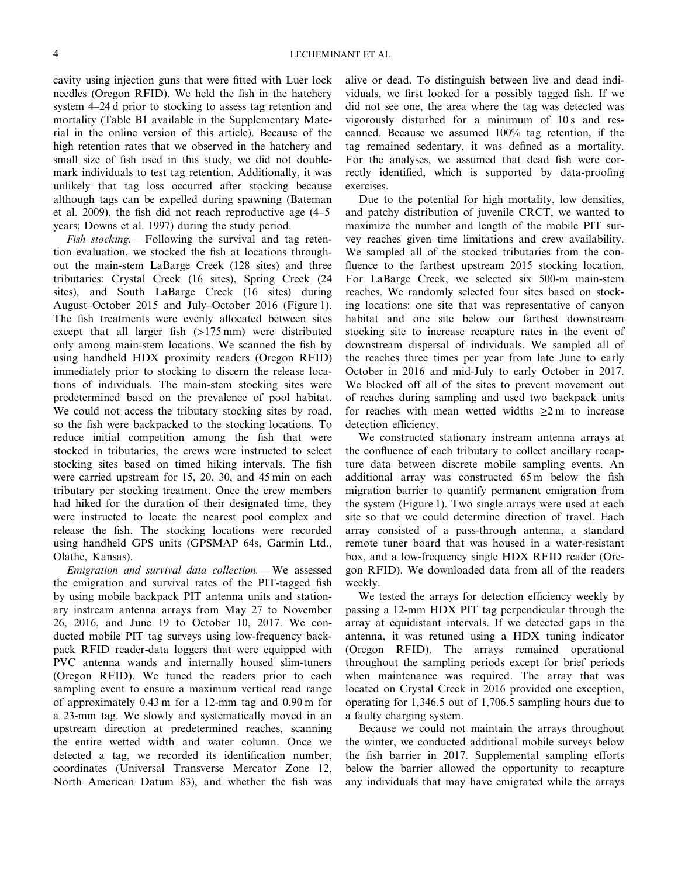cavity using injection guns that were fitted with Luer lock needles (Oregon RFID). We held the fish in the hatchery system 4–24 d prior to stocking to assess tag retention and mortality (Table B1 available in the Supplementary Material in the online version of this article). Because of the high retention rates that we observed in the hatchery and small size of fish used in this study, we did not doublemark individuals to test tag retention. Additionally, it was unlikely that tag loss occurred after stocking because although tags can be expelled during spawning (Bateman et al. 2009), the fish did not reach reproductive age (4–5 years; Downs et al. 1997) during the study period.

*Fish stocking.—* Following the survival and tag retention evaluation, we stocked the fish at locations throughout the main-stem LaBarge Creek (128 sites) and three tributaries: Crystal Creek (16 sites), Spring Creek (24 sites), and South LaBarge Creek (16 sites) during August–October 2015 and July–October 2016 (Figure 1). The fish treatments were evenly allocated between sites except that all larger fish  $(>175 \text{ mm})$  were distributed only among main-stem locations. We scanned the fish by using handheld HDX proximity readers (Oregon RFID) immediately prior to stocking to discern the release locations of individuals. The main-stem stocking sites were predetermined based on the prevalence of pool habitat. We could not access the tributary stocking sites by road, so the fish were backpacked to the stocking locations. To reduce initial competition among the fish that were stocked in tributaries, the crews were instructed to select stocking sites based on timed hiking intervals. The fish were carried upstream for 15, 20, 30, and 45 min on each tributary per stocking treatment. Once the crew members had hiked for the duration of their designated time, they were instructed to locate the nearest pool complex and release the fish. The stocking locations were recorded using handheld GPS units (GPSMAP 64s, Garmin Ltd., Olathe, Kansas).

*Emigration and survival data collection.—* We assessed the emigration and survival rates of the PIT-tagged fish by using mobile backpack PIT antenna units and stationary instream antenna arrays from May 27 to November 26, 2016, and June 19 to October 10, 2017. We conducted mobile PIT tag surveys using low-frequency backpack RFID reader-data loggers that were equipped with PVC antenna wands and internally housed slim-tuners (Oregon RFID). We tuned the readers prior to each sampling event to ensure a maximum vertical read range of approximately 0.43 m for a 12-mm tag and 0.90 m for a 23-mm tag. We slowly and systematically moved in an upstream direction at predetermined reaches, scanning the entire wetted width and water column. Once we detected a tag, we recorded its identification number, coordinates (Universal Transverse Mercator Zone 12, North American Datum 83), and whether the fish was alive or dead. To distinguish between live and dead individuals, we first looked for a possibly tagged fish. If we did not see one, the area where the tag was detected was vigorously disturbed for a minimum of 10 s and rescanned. Because we assumed 100% tag retention, if the tag remained sedentary, it was defined as a mortality. For the analyses, we assumed that dead fish were correctly identified, which is supported by data-proofing exercises.

Due to the potential for high mortality, low densities, and patchy distribution of juvenile CRCT, we wanted to maximize the number and length of the mobile PIT survey reaches given time limitations and crew availability. We sampled all of the stocked tributaries from the confluence to the farthest upstream 2015 stocking location. For LaBarge Creek, we selected six 500-m main-stem reaches. We randomly selected four sites based on stocking locations: one site that was representative of canyon habitat and one site below our farthest downstream stocking site to increase recapture rates in the event of downstream dispersal of individuals. We sampled all of the reaches three times per year from late June to early October in 2016 and mid-July to early October in 2017. We blocked off all of the sites to prevent movement out of reaches during sampling and used two backpack units for reaches with mean wetted widths  $\geq 2$  m to increase detection efficiency.

We constructed stationary instream antenna arrays at the confluence of each tributary to collect ancillary recapture data between discrete mobile sampling events. An additional array was constructed 65 m below the fish migration barrier to quantify permanent emigration from the system (Figure 1). Two single arrays were used at each site so that we could determine direction of travel. Each array consisted of a pass-through antenna, a standard remote tuner board that was housed in a water-resistant box, and a low-frequency single HDX RFID reader (Oregon RFID). We downloaded data from all of the readers weekly.

We tested the arrays for detection efficiency weekly by passing a 12-mm HDX PIT tag perpendicular through the array at equidistant intervals. If we detected gaps in the antenna, it was retuned using a HDX tuning indicator (Oregon RFID). The arrays remained operational throughout the sampling periods except for brief periods when maintenance was required. The array that was located on Crystal Creek in 2016 provided one exception, operating for 1,346.5 out of 1,706.5 sampling hours due to a faulty charging system.

Because we could not maintain the arrays throughout the winter, we conducted additional mobile surveys below the fish barrier in 2017. Supplemental sampling efforts below the barrier allowed the opportunity to recapture any individuals that may have emigrated while the arrays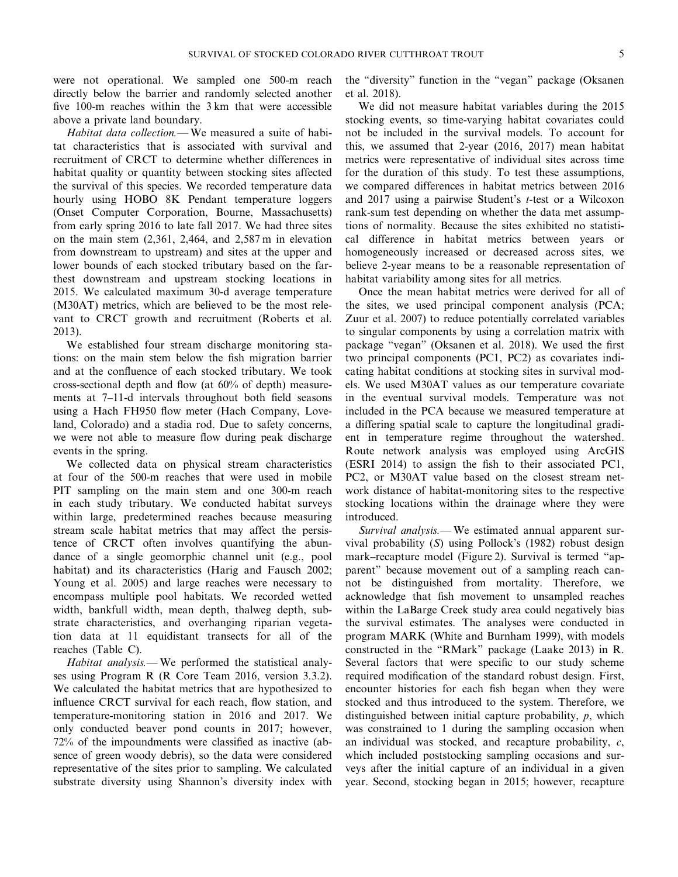were not operational. We sampled one 500-m reach directly below the barrier and randomly selected another five 100-m reaches within the 3 km that were accessible above a private land boundary.

*Habitat data collection.—* We measured a suite of habitat characteristics that is associated with survival and recruitment of CRCT to determine whether differences in habitat quality or quantity between stocking sites affected the survival of this species. We recorded temperature data hourly using HOBO 8K Pendant temperature loggers (Onset Computer Corporation, Bourne, Massachusetts) from early spring 2016 to late fall 2017. We had three sites on the main stem (2,361, 2,464, and 2,587 m in elevation from downstream to upstream) and sites at the upper and lower bounds of each stocked tributary based on the farthest downstream and upstream stocking locations in 2015. We calculated maximum 30-d average temperature (M30AT) metrics, which are believed to be the most relevant to CRCT growth and recruitment (Roberts et al. 2013).

We established four stream discharge monitoring stations: on the main stem below the fish migration barrier and at the confluence of each stocked tributary. We took cross-sectional depth and flow (at 60% of depth) measurements at 7–11-d intervals throughout both field seasons using a Hach FH950 flow meter (Hach Company, Loveland, Colorado) and a stadia rod. Due to safety concerns, we were not able to measure flow during peak discharge events in the spring.

We collected data on physical stream characteristics at four of the 500-m reaches that were used in mobile PIT sampling on the main stem and one 300-m reach in each study tributary. We conducted habitat surveys within large, predetermined reaches because measuring stream scale habitat metrics that may affect the persistence of CRCT often involves quantifying the abundance of a single geomorphic channel unit (e.g., pool habitat) and its characteristics (Harig and Fausch 2002; Young et al. 2005) and large reaches were necessary to encompass multiple pool habitats. We recorded wetted width, bankfull width, mean depth, thalweg depth, substrate characteristics, and overhanging riparian vegetation data at 11 equidistant transects for all of the reaches (Table C).

*Habitat analysis.—* We performed the statistical analyses using Program R (R Core Team 2016, version 3.3.2). We calculated the habitat metrics that are hypothesized to influence CRCT survival for each reach, flow station, and temperature-monitoring station in 2016 and 2017. We only conducted beaver pond counts in 2017; however, 72% of the impoundments were classified as inactive (absence of green woody debris), so the data were considered representative of the sites prior to sampling. We calculated substrate diversity using Shannon's diversity index with

the "diversity" function in the "vegan" package (Oksanen et al. 2018).

We did not measure habitat variables during the 2015 stocking events, so time-varying habitat covariates could not be included in the survival models. To account for this, we assumed that 2-year (2016, 2017) mean habitat metrics were representative of individual sites across time for the duration of this study. To test these assumptions, we compared differences in habitat metrics between 2016 and 2017 using a pairwise Student's *t*-test or a Wilcoxon rank-sum test depending on whether the data met assumptions of normality. Because the sites exhibited no statistical difference in habitat metrics between years or homogeneously increased or decreased across sites, we believe 2-year means to be a reasonable representation of habitat variability among sites for all metrics.

Once the mean habitat metrics were derived for all of the sites, we used principal component analysis (PCA; Zuur et al. 2007) to reduce potentially correlated variables to singular components by using a correlation matrix with package "vegan" (Oksanen et al. 2018). We used the first two principal components (PC1, PC2) as covariates indicating habitat conditions at stocking sites in survival models. We used M30AT values as our temperature covariate in the eventual survival models. Temperature was not included in the PCA because we measured temperature at a differing spatial scale to capture the longitudinal gradient in temperature regime throughout the watershed. Route network analysis was employed using ArcGIS (ESRI 2014) to assign the fish to their associated PC1, PC2, or M30AT value based on the closest stream network distance of habitat-monitoring sites to the respective stocking locations within the drainage where they were introduced.

*Survival analysis.—* We estimated annual apparent survival probability (*S*) using Pollock's (1982) robust design mark–recapture model (Figure 2). Survival is termed "apparent" because movement out of a sampling reach cannot be distinguished from mortality. Therefore, we acknowledge that fish movement to unsampled reaches within the LaBarge Creek study area could negatively bias the survival estimates. The analyses were conducted in program MARK (White and Burnham 1999), with models constructed in the "RMark" package (Laake 2013) in R. Several factors that were specific to our study scheme required modification of the standard robust design. First, encounter histories for each fish began when they were stocked and thus introduced to the system. Therefore, we distinguished between initial capture probability, *p*, which was constrained to 1 during the sampling occasion when an individual was stocked, and recapture probability, *c*, which included poststocking sampling occasions and surveys after the initial capture of an individual in a given year. Second, stocking began in 2015; however, recapture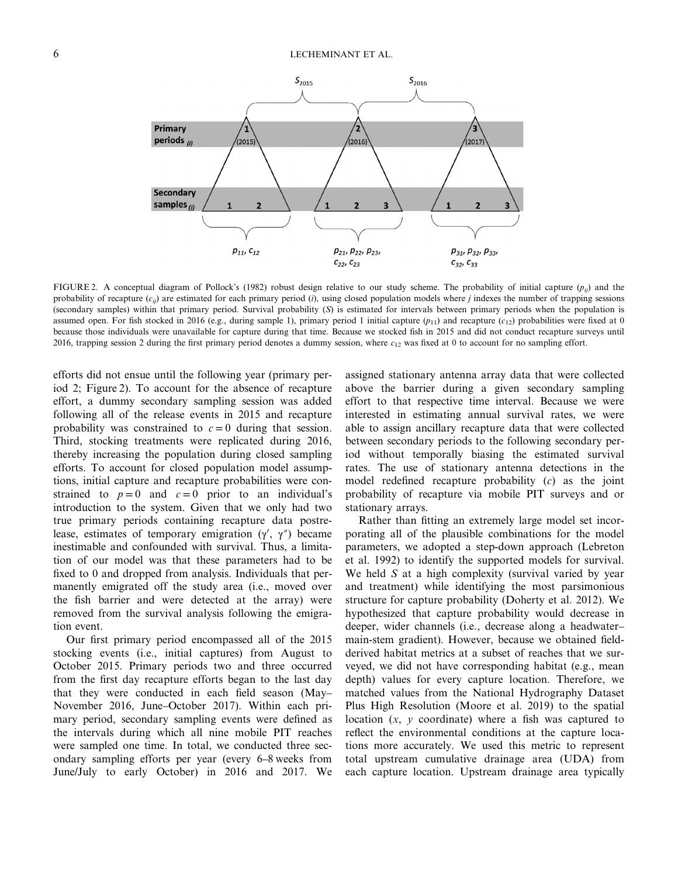

FIGURE 2. A conceptual diagram of Pollock's (1982) robust design relative to our study scheme. The probability of initial capture  $(p_{ij})$  and the probability of recapture  $(c_{ij})$  are estimated for each primary period  $(i)$ , using closed population models where *j* indexes the number of trapping sessions (secondary samples) within that primary period. Survival probability (*S*) is estimated for intervals between primary periods when the population is assumed open. For fish stocked in 2016 (e.g., during sample 1), primary period 1 initial capture  $(p_{11})$  and recapture  $(c_{12})$  probabilities were fixed at 0 because those individuals were unavailable for capture during that time. Because we stocked fish in 2015 and did not conduct recapture surveys until 2016, trapping session 2 during the first primary period denotes a dummy session, where *c*<sup>12</sup> was fixed at 0 to account for no sampling effort.

efforts did not ensue until the following year (primary period 2; Figure 2). To account for the absence of recapture effort, a dummy secondary sampling session was added following all of the release events in 2015 and recapture probability was constrained to  $c = 0$  during that session. Third, stocking treatments were replicated during 2016, thereby increasing the population during closed sampling efforts. To account for closed population model assumptions, initial capture and recapture probabilities were constrained to  $p=0$  and  $c=0$  prior to an individual's introduction to the system. Given that we only had two true primary periods containing recapture data postrelease, estimates of temporary emigration  $(\gamma', \gamma'')$  became inestimable and confounded with survival. Thus, a limitation of our model was that these parameters had to be fixed to 0 and dropped from analysis. Individuals that permanently emigrated off the study area (i.e., moved over the fish barrier and were detected at the array) were removed from the survival analysis following the emigration event.

Our first primary period encompassed all of the 2015 stocking events (i.e., initial captures) from August to October 2015. Primary periods two and three occurred from the first day recapture efforts began to the last day that they were conducted in each field season (May– November 2016, June–October 2017). Within each primary period, secondary sampling events were defined as the intervals during which all nine mobile PIT reaches were sampled one time. In total, we conducted three secondary sampling efforts per year (every 6–8 weeks from June/July to early October) in 2016 and 2017. We

assigned stationary antenna array data that were collected above the barrier during a given secondary sampling effort to that respective time interval. Because we were interested in estimating annual survival rates, we were able to assign ancillary recapture data that were collected between secondary periods to the following secondary period without temporally biasing the estimated survival rates. The use of stationary antenna detections in the model redefined recapture probability (*c*) as the joint probability of recapture via mobile PIT surveys and or stationary arrays.

Rather than fitting an extremely large model set incorporating all of the plausible combinations for the model parameters, we adopted a step-down approach (Lebreton et al. 1992) to identify the supported models for survival. We held *S* at a high complexity (survival varied by year and treatment) while identifying the most parsimonious structure for capture probability (Doherty et al. 2012). We hypothesized that capture probability would decrease in deeper, wider channels (i.e., decrease along a headwater– main-stem gradient). However, because we obtained fieldderived habitat metrics at a subset of reaches that we surveyed, we did not have corresponding habitat (e.g., mean depth) values for every capture location. Therefore, we matched values from the National Hydrography Dataset Plus High Resolution (Moore et al. 2019) to the spatial location (*x*, *y* coordinate) where a fish was captured to reflect the environmental conditions at the capture locations more accurately. We used this metric to represent total upstream cumulative drainage area (UDA) from each capture location. Upstream drainage area typically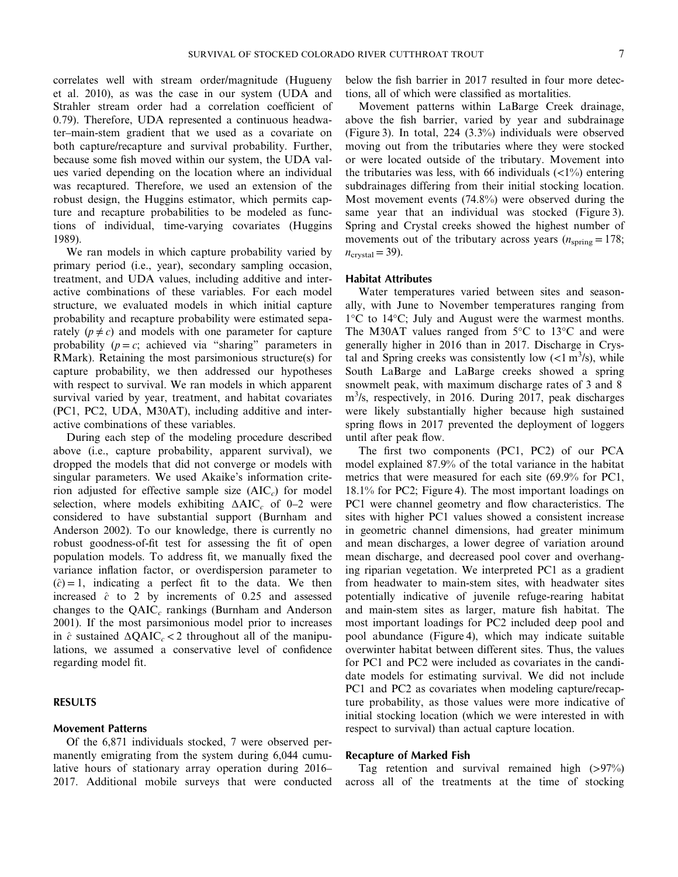correlates well with stream order/magnitude (Hugueny et al. 2010), as was the case in our system (UDA and Strahler stream order had a correlation coefficient of 0.79). Therefore, UDA represented a continuous headwater–main-stem gradient that we used as a covariate on both capture/recapture and survival probability. Further, because some fish moved within our system, the UDA values varied depending on the location where an individual was recaptured. Therefore, we used an extension of the robust design, the Huggins estimator, which permits capture and recapture probabilities to be modeled as functions of individual, time-varying covariates (Huggins 1989).

We ran models in which capture probability varied by primary period (i.e., year), secondary sampling occasion, treatment, and UDA values, including additive and interactive combinations of these variables. For each model structure, we evaluated models in which initial capture probability and recapture probability were estimated separately  $(p \neq c)$  and models with one parameter for capture probability  $(p = c;$  achieved via "sharing" parameters in RMark). Retaining the most parsimonious structure(s) for capture probability, we then addressed our hypotheses with respect to survival. We ran models in which apparent survival varied by year, treatment, and habitat covariates (PC1, PC2, UDA, M30AT), including additive and interactive combinations of these variables.

During each step of the modeling procedure described above (i.e., capture probability, apparent survival), we dropped the models that did not converge or models with singular parameters. We used Akaike's information criterion adjusted for effective sample size (AIC<sub>c</sub>) for model selection, where models exhibiting  $ΔAIC<sub>c</sub>$  of 0–2 were considered to have substantial support (Burnham and Anderson 2002). To our knowledge, there is currently no robust goodness-of-fit test for assessing the fit of open population models. To address fit, we manually fixed the variance inflation factor, or overdispersion parameter to  $(\hat{c}) = 1$ , indicating a perfect fit to the data. We then increased  $\hat{c}$  to 2 by increments of 0.25 and assessed changes to the QAIC*<sup>c</sup>* rankings (Burnham and Anderson 2001). If the most parsimonious model prior to increases in  $\hat{c}$  sustained  $\Delta QAIC_c < 2$  throughout all of the manipulations, we assumed a conservative level of confidence regarding model fit.

## **RESULTS**

#### **Movement Patterns**

Of the 6,871 individuals stocked, 7 were observed permanently emigrating from the system during 6,044 cumulative hours of stationary array operation during 2016– 2017. Additional mobile surveys that were conducted below the fish barrier in 2017 resulted in four more detections, all of which were classified as mortalities.

Movement patterns within LaBarge Creek drainage, above the fish barrier, varied by year and subdrainage (Figure 3). In total, 224 (3.3%) individuals were observed moving out from the tributaries where they were stocked or were located outside of the tributary. Movement into the tributaries was less, with 66 individuals  $\left\langle \langle 1 \rangle \langle 0 \rangle \right\rangle$  entering subdrainages differing from their initial stocking location. Most movement events (74.8%) were observed during the same year that an individual was stocked (Figure 3). Spring and Crystal creeks showed the highest number of movements out of the tributary across years  $(n_{\text{spring}} = 178)$ ;  $n_{\text{crystal}} = 39$ ).

## **Habitat Attributes**

Water temperatures varied between sites and seasonally, with June to November temperatures ranging from 1°C to 14°C; July and August were the warmest months. The M30AT values ranged from 5°C to 13°C and were generally higher in 2016 than in 2017. Discharge in Crystal and Spring creeks was consistently low  $(<1 \text{ m}^3/\text{s})$ , while South LaBarge and LaBarge creeks showed a spring snowmelt peak, with maximum discharge rates of 3 and 8 m<sup>3</sup>/s, respectively, in 2016. During 2017, peak discharges were likely substantially higher because high sustained spring flows in 2017 prevented the deployment of loggers until after peak flow.

The first two components (PC1, PC2) of our PCA model explained 87.9% of the total variance in the habitat metrics that were measured for each site (69.9% for PC1, 18.1% for PC2; Figure 4). The most important loadings on PC1 were channel geometry and flow characteristics. The sites with higher PC1 values showed a consistent increase in geometric channel dimensions, had greater minimum and mean discharges, a lower degree of variation around mean discharge, and decreased pool cover and overhanging riparian vegetation. We interpreted PC1 as a gradient from headwater to main-stem sites, with headwater sites potentially indicative of juvenile refuge-rearing habitat and main-stem sites as larger, mature fish habitat. The most important loadings for PC2 included deep pool and pool abundance (Figure 4), which may indicate suitable overwinter habitat between different sites. Thus, the values for PC1 and PC2 were included as covariates in the candidate models for estimating survival. We did not include PC1 and PC2 as covariates when modeling capture/recapture probability, as those values were more indicative of initial stocking location (which we were interested in with respect to survival) than actual capture location.

## **Recapture of Marked Fish**

Tag retention and survival remained high  $(>97%)$ across all of the treatments at the time of stocking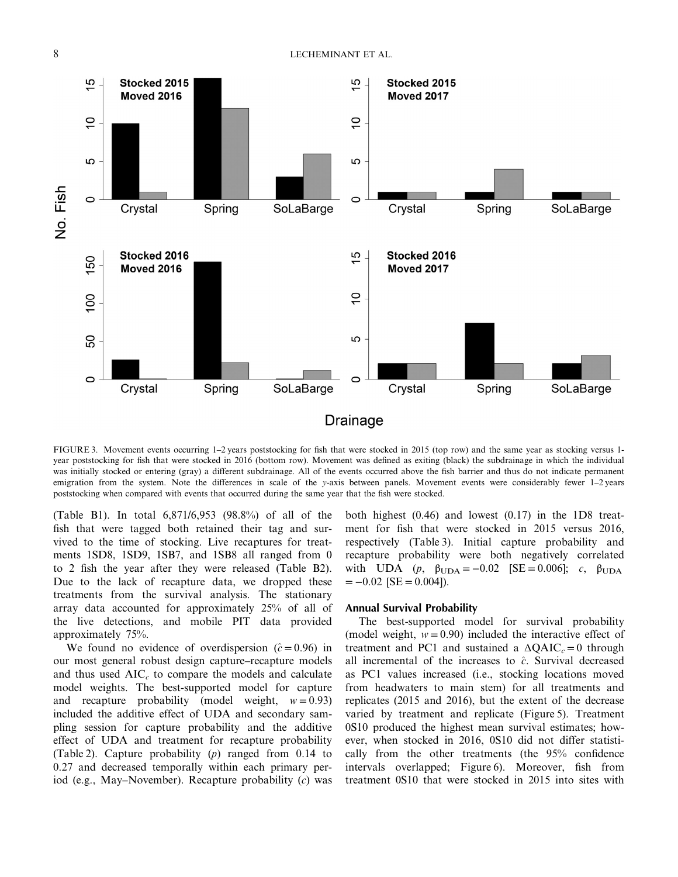

FIGURE 3. Movement events occurring 1-2 years poststocking for fish that were stocked in 2015 (top row) and the same year as stocking versus 1year poststocking for fish that were stocked in 2016 (bottom row). Movement was defined as exiting (black) the subdrainage in which the individual was initially stocked or entering (gray) a different subdrainage. All of the events occurred above the fish barrier and thus do not indicate permanent emigration from the system. Note the differences in scale of the *y*-axis between panels. Movement events were considerably fewer 1–2 years poststocking when compared with events that occurred during the same year that the fish were stocked.

(Table B1). In total 6,871/6,953 (98.8%) of all of the fish that were tagged both retained their tag and survived to the time of stocking. Live recaptures for treatments 1SD8, 1SD9, 1SB7, and 1SB8 all ranged from 0 to 2 fish the year after they were released (Table B2). Due to the lack of recapture data, we dropped these treatments from the survival analysis. The stationary array data accounted for approximately 25% of all of the live detections, and mobile PIT data provided approximately 75%.

We found no evidence of overdispersion  $(\hat{c} = 0.96)$  in our most general robust design capture–recapture models and thus used  $AIC<sub>c</sub>$  to compare the models and calculate model weights. The best-supported model for capture and recapture probability (model weight,  $w = 0.93$ ) included the additive effect of UDA and secondary sampling session for capture probability and the additive effect of UDA and treatment for recapture probability (Table 2). Capture probability (*p*) ranged from 0.14 to 0.27 and decreased temporally within each primary period (e.g., May–November). Recapture probability (*c*) was both highest  $(0.46)$  and lowest  $(0.17)$  in the 1D8 treatment for fish that were stocked in 2015 versus 2016, respectively (Table 3). Initial capture probability and recapture probability were both negatively correlated with UDA (*p*,  $β_{\text{UDA}} = -0.02$  [SE = 0.006]; *c*,  $β_{\text{UDA}}$  $= -0.02$  [SE  $= 0.004$ ]).

# **Annual Survival Probability**

The best-supported model for survival probability (model weight,  $w = 0.90$ ) included the interactive effect of treatment and PC1 and sustained a  $\Delta Q AIC_c = 0$  through all incremental of the increases to  $\hat{c}$ . Survival decreased as PC1 values increased (i.e., stocking locations moved from headwaters to main stem) for all treatments and replicates (2015 and 2016), but the extent of the decrease varied by treatment and replicate (Figure 5). Treatment 0S10 produced the highest mean survival estimates; however, when stocked in 2016, 0S10 did not differ statistically from the other treatments (the 95% confidence intervals overlapped; Figure 6). Moreover, fish from treatment 0S10 that were stocked in 2015 into sites with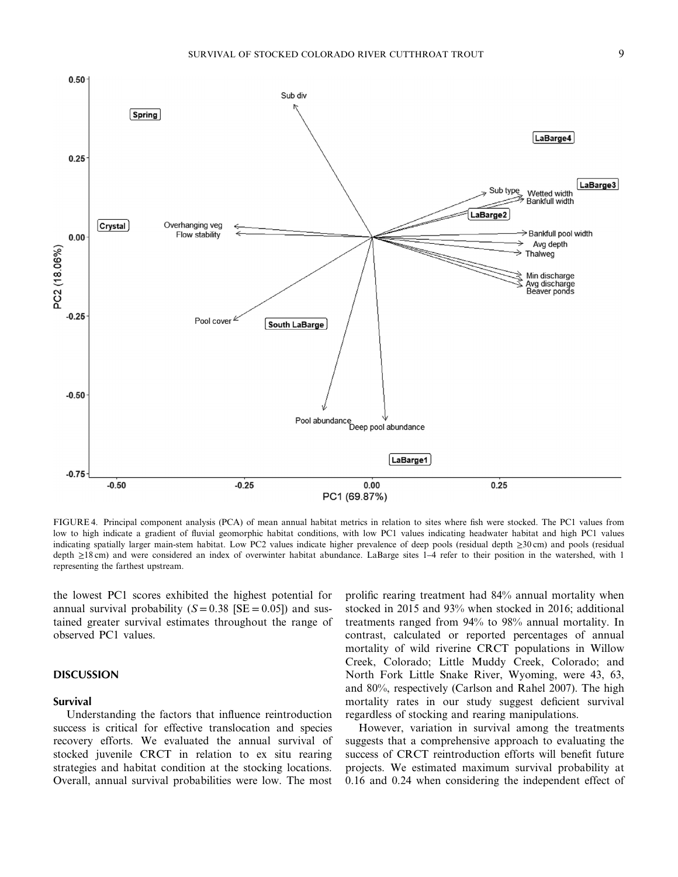

FIGURE 4. Principal component analysis (PCA) of mean annual habitat metrics in relation to sites where fish were stocked. The PC1 values from low to high indicate a gradient of fluvial geomorphic habitat conditions, with low PC1 values indicating headwater habitat and high PC1 values indicating spatially larger main-stem habitat. Low PC2 values indicate higher prevalence of deep pools (residual depth ≥30 cm) and pools (residual depth ≥18 cm) and were considered an index of overwinter habitat abundance. LaBarge sites 1–4 refer to their position in the watershed, with 1 representing the farthest upstream.

the lowest PC1 scores exhibited the highest potential for annual survival probability  $(S = 0.38 \text{ [SE} = 0.05])$  and sustained greater survival estimates throughout the range of observed PC1 values.

# **DISCUSSION**

## **Survival**

Understanding the factors that influence reintroduction success is critical for effective translocation and species recovery efforts. We evaluated the annual survival of stocked juvenile CRCT in relation to ex situ rearing strategies and habitat condition at the stocking locations. Overall, annual survival probabilities were low. The most prolific rearing treatment had 84% annual mortality when stocked in 2015 and 93% when stocked in 2016; additional treatments ranged from 94% to 98% annual mortality. In contrast, calculated or reported percentages of annual mortality of wild riverine CRCT populations in Willow Creek, Colorado; Little Muddy Creek, Colorado; and North Fork Little Snake River, Wyoming, were 43, 63, and 80%, respectively (Carlson and Rahel 2007). The high mortality rates in our study suggest deficient survival regardless of stocking and rearing manipulations.

However, variation in survival among the treatments suggests that a comprehensive approach to evaluating the success of CRCT reintroduction efforts will benefit future projects. We estimated maximum survival probability at 0.16 and 0.24 when considering the independent effect of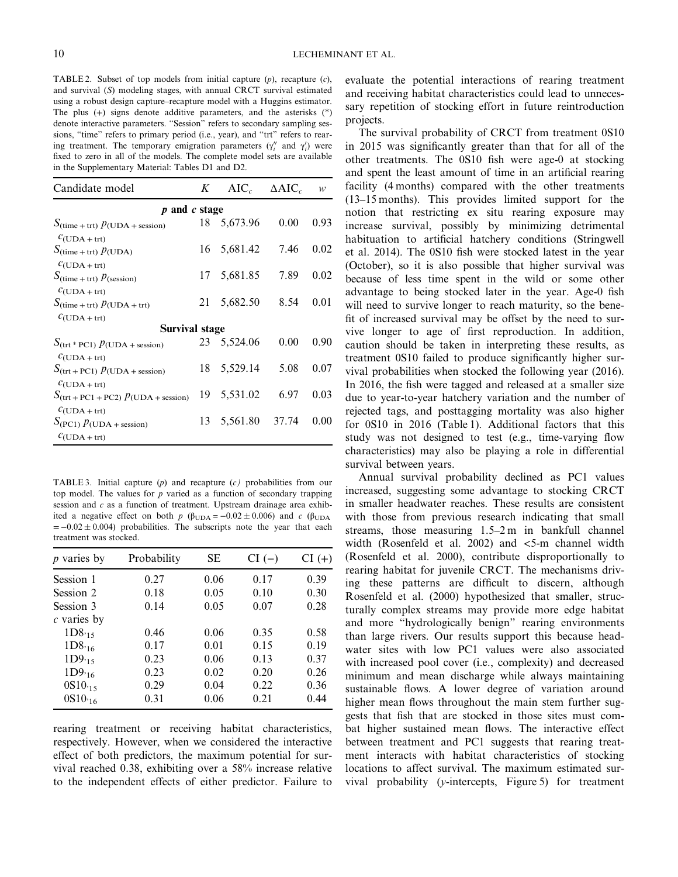TABLE 2. Subset of top models from initial capture (*p*), recapture (*c*), and survival (*S*) modeling stages, with annual CRCT survival estimated using a robust design capture–recapture model with a Huggins estimator. The plus (+) signs denote additive parameters, and the asterisks (\*) denote interactive parameters. "Session" refers to secondary sampling sessions, "time" refers to primary period (i.e., year), and "trt" refers to rearing treatment. The temporary emigration parameters  $(\gamma_i^{\prime\prime}$  and  $\gamma_i^{\prime})$  were fixed to zero in all of the models. The complete model sets are available in the Supplementary Material: Tables D1 and D2.

| Candidate model                                                           | K  | $AIC_c$  | $\triangle AIC_c$ | w    |  |  |  |  |  |
|---------------------------------------------------------------------------|----|----------|-------------------|------|--|--|--|--|--|
| and c stage<br>$\boldsymbol{D}$                                           |    |          |                   |      |  |  |  |  |  |
| $S_{\text{(time + trt)}} p_{\text{(UDA + session)}}$                      | 18 | 5,673.96 | 0.00              | 0.93 |  |  |  |  |  |
| $c_{(UDA + trt)}$<br>$S_{\text{(time + trt)}} p_{\text{(UDA)}}$           | 16 | 5,681.42 | 7.46              | 0.02 |  |  |  |  |  |
| $C(UDA+trt)$<br>$S$ (time + trt) $p$ (session)                            | 17 | 5,681.85 | 7.89              | 0.02 |  |  |  |  |  |
| $C(UDA+trt)$<br>$S$ (time + trt) $p$ (UDA + trt)                          | 21 | 5,682.50 | 8.54              | 0.01 |  |  |  |  |  |
| $c_{(UDA+trt)}$<br><b>Survival stage</b>                                  |    |          |                   |      |  |  |  |  |  |
| $S_{\text{(trt * PC1)}}$ $p_{\text{(UDA + session)}}$                     | 23 | 5,524.06 | 0.00              | 0.90 |  |  |  |  |  |
| $c_{(UDA+trt)}$<br>$S$ (trt + PC1) $p$ (UDA + session)                    | 18 | 5,529.14 | 5.08              | 0.07 |  |  |  |  |  |
| $C(UDA+trt)$<br>$S_{\text{(trt + PC1 + PC2)}} p_{\text{(UDA + session)}}$ | 19 | 5,531.02 | 6.97              | 0.03 |  |  |  |  |  |
| $C(UDA+trt)$<br>$S_{\text{(PC1)}} p_{\text{(UDA + session)}}$             | 13 | 5,561.80 | 37.74             | 0.00 |  |  |  |  |  |
| $c_{(UDA+trt)}$                                                           |    |          |                   |      |  |  |  |  |  |

TABLE 3. Initial capture (*p*) and recapture (*c)* probabilities from our top model. The values for  $p$  varied as a function of secondary trapping session and *c* as a function of treatment. Upstream drainage area exhibited a negative effect on both *p* ( $\beta_{\text{UDA}} = -0.02 \pm 0.006$ ) and *c* ( $\beta_{\text{UDA}}$  $= -0.02 \pm 0.004$ ) probabilities. The subscripts note the year that each treatment was stocked.

| $p$ varies by | Probability | SЕ   | $CI(-)$ | $CI(+)$ |
|---------------|-------------|------|---------|---------|
| Session 1     | 0.27        | 0.06 | 0.17    | 0.39    |
| Session 2     | 0.18        | 0.05 | 0.10    | 0.30    |
| Session 3     | 0.14        | 0.05 | 0.07    | 0.28    |
| $c$ varies by |             |      |         |         |
| $1D8_{15}$    | 0.46        | 0.06 | 0.35    | 0.58    |
| $1D8_{16}$    | 0.17        | 0.01 | 0.15    | 0.19    |
| $1D9_{15}$    | 0.23        | 0.06 | 0.13    | 0.37    |
| $1D9_{16}$    | 0.23        | 0.02 | 0.20    | 0.26    |
| $0S10_{15}$   | 0.29        | 0.04 | 0.22    | 0.36    |
| $0S10_{16}$   | 0.31        | 0.06 | 0.21    | 0.44    |

rearing treatment or receiving habitat characteristics, respectively. However, when we considered the interactive effect of both predictors, the maximum potential for survival reached 0.38, exhibiting over a 58% increase relative to the independent effects of either predictor. Failure to evaluate the potential interactions of rearing treatment and receiving habitat characteristics could lead to unnecessary repetition of stocking effort in future reintroduction projects.

The survival probability of CRCT from treatment 0S10 in 2015 was significantly greater than that for all of the other treatments. The 0S10 fish were age-0 at stocking and spent the least amount of time in an artificial rearing facility (4 months) compared with the other treatments (13–15 months). This provides limited support for the notion that restricting ex situ rearing exposure may increase survival, possibly by minimizing detrimental habituation to artificial hatchery conditions (Stringwell et al. 2014). The 0S10 fish were stocked latest in the year (October), so it is also possible that higher survival was because of less time spent in the wild or some other advantage to being stocked later in the year. Age-0 fish will need to survive longer to reach maturity, so the benefit of increased survival may be offset by the need to survive longer to age of first reproduction. In addition, caution should be taken in interpreting these results, as treatment 0S10 failed to produce significantly higher survival probabilities when stocked the following year (2016). In 2016, the fish were tagged and released at a smaller size due to year-to-year hatchery variation and the number of rejected tags, and posttagging mortality was also higher for 0S10 in 2016 (Table 1). Additional factors that this study was not designed to test (e.g., time-varying flow characteristics) may also be playing a role in differential survival between years.

Annual survival probability declined as PC1 values increased, suggesting some advantage to stocking CRCT in smaller headwater reaches. These results are consistent with those from previous research indicating that small streams, those measuring 1.5–2 m in bankfull channel width (Rosenfeld et al. 2002) and  $\lt$  5-m channel width (Rosenfeld et al. 2000), contribute disproportionally to rearing habitat for juvenile CRCT. The mechanisms driving these patterns are difficult to discern, although Rosenfeld et al. (2000) hypothesized that smaller, structurally complex streams may provide more edge habitat and more "hydrologically benign" rearing environments than large rivers. Our results support this because headwater sites with low PC1 values were also associated with increased pool cover (i.e., complexity) and decreased minimum and mean discharge while always maintaining sustainable flows. A lower degree of variation around higher mean flows throughout the main stem further suggests that fish that are stocked in those sites must combat higher sustained mean flows. The interactive effect between treatment and PC1 suggests that rearing treatment interacts with habitat characteristics of stocking locations to affect survival. The maximum estimated survival probability (*y*-intercepts, Figure 5) for treatment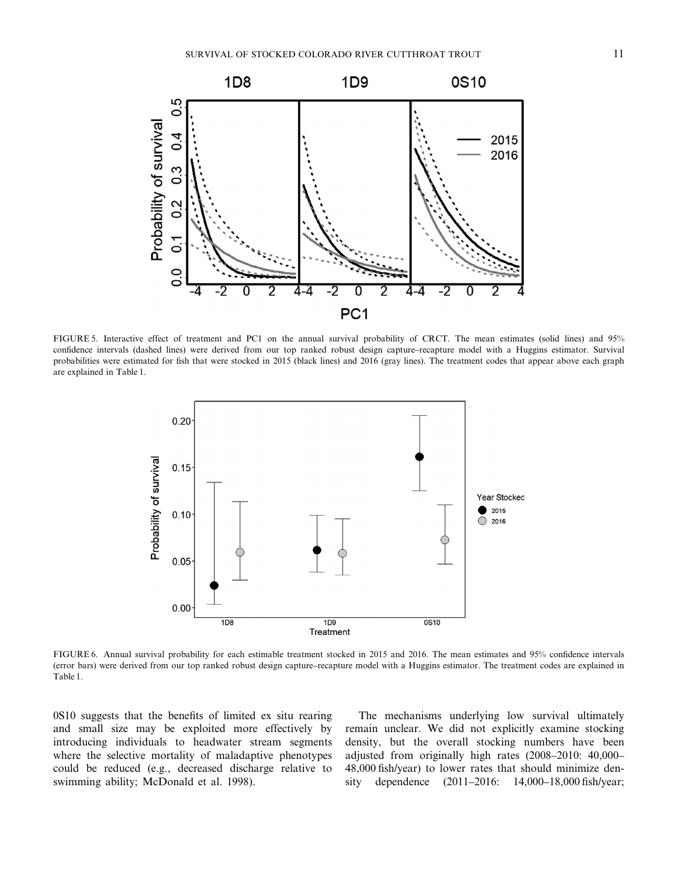

FIGURE 5. Interactive effect of treatment and PC1 on the annual survival probability of CRCT. The mean estimates (solid lines) and 95% confidence intervals (dashed lines) were derived from our top ranked robust design capture–recapture model with a Huggins estimator. Survival probabilities were estimated for fish that were stocked in 2015 (black lines) and 2016 (gray lines). The treatment codes that appear above each graph are explained in Table 1.



FIGURE 6. Annual survival probability for each estimable treatment stocked in 2015 and 2016. The mean estimates and 95% confidence intervals (error bars) were derived from our top ranked robust design capture–recapture model with a Huggins estimator. The treatment codes are explained in Table 1.

0S10 suggests that the benefits of limited ex situ rearing and small size may be exploited more effectively by introducing individuals to headwater stream segments where the selective mortality of maladaptive phenotypes could be reduced (e.g., decreased discharge relative to swimming ability; McDonald et al. 1998).

The mechanisms underlying low survival ultimately remain unclear. We did not explicitly examine stocking density, but the overall stocking numbers have been adjusted from originally high rates (2008–2010: 40,000– 48,000 fish/year) to lower rates that should minimize density dependence (2011–2016: 14,000–18,000 fish/year;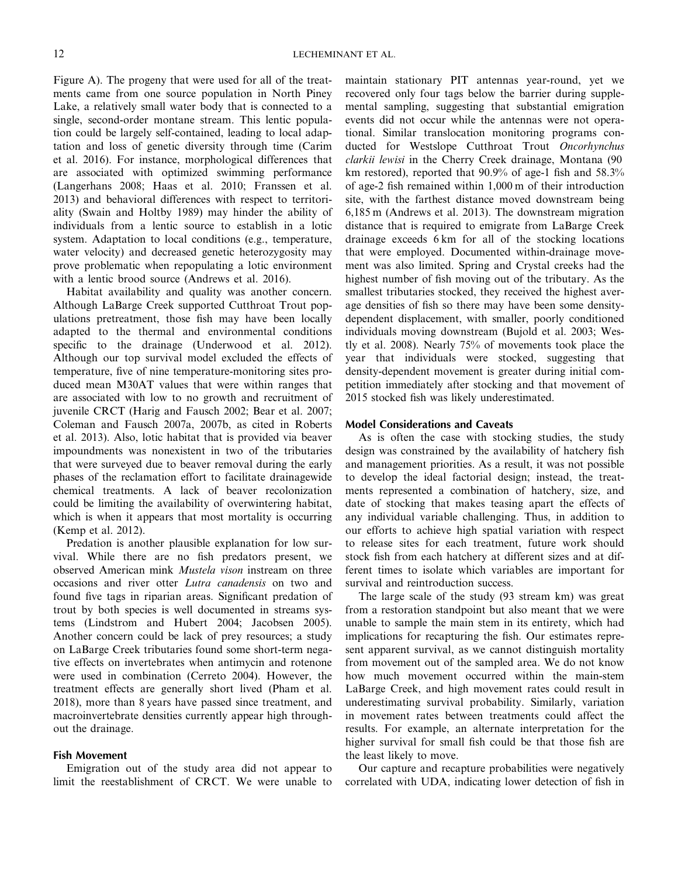Figure A). The progeny that were used for all of the treatments came from one source population in North Piney Lake, a relatively small water body that is connected to a single, second-order montane stream. This lentic population could be largely self-contained, leading to local adaptation and loss of genetic diversity through time (Carim et al. 2016). For instance, morphological differences that are associated with optimized swimming performance (Langerhans 2008; Haas et al. 2010; Franssen et al. 2013) and behavioral differences with respect to territoriality (Swain and Holtby 1989) may hinder the ability of individuals from a lentic source to establish in a lotic system. Adaptation to local conditions (e.g., temperature, water velocity) and decreased genetic heterozygosity may prove problematic when repopulating a lotic environment with a lentic brood source (Andrews et al. 2016).

Habitat availability and quality was another concern. Although LaBarge Creek supported Cutthroat Trout populations pretreatment, those fish may have been locally adapted to the thermal and environmental conditions specific to the drainage (Underwood et al. 2012). Although our top survival model excluded the effects of temperature, five of nine temperature-monitoring sites produced mean M30AT values that were within ranges that are associated with low to no growth and recruitment of juvenile CRCT (Harig and Fausch 2002; Bear et al. 2007; Coleman and Fausch 2007a, 2007b, as cited in Roberts et al. 2013). Also, lotic habitat that is provided via beaver impoundments was nonexistent in two of the tributaries that were surveyed due to beaver removal during the early phases of the reclamation effort to facilitate drainagewide chemical treatments. A lack of beaver recolonization could be limiting the availability of overwintering habitat, which is when it appears that most mortality is occurring (Kemp et al. 2012).

Predation is another plausible explanation for low survival. While there are no fish predators present, we observed American mink *Mustela vison* instream on three occasions and river otter *Lutra canadensis* on two and found five tags in riparian areas. Significant predation of trout by both species is well documented in streams systems (Lindstrom and Hubert 2004; Jacobsen 2005). Another concern could be lack of prey resources; a study on LaBarge Creek tributaries found some short-term negative effects on invertebrates when antimycin and rotenone were used in combination (Cerreto 2004). However, the treatment effects are generally short lived (Pham et al. 2018), more than 8 years have passed since treatment, and macroinvertebrate densities currently appear high throughout the drainage.

## **Fish Movement**

Emigration out of the study area did not appear to limit the reestablishment of CRCT. We were unable to maintain stationary PIT antennas year-round, yet we recovered only four tags below the barrier during supplemental sampling, suggesting that substantial emigration events did not occur while the antennas were not operational. Similar translocation monitoring programs conducted for Westslope Cutthroat Trout *Oncorhynchus clarkii lewisi* in the Cherry Creek drainage, Montana (90 km restored), reported that 90.9% of age-1 fish and 58.3% of age-2 fish remained within 1,000 m of their introduction site, with the farthest distance moved downstream being 6,185 m (Andrews et al. 2013). The downstream migration distance that is required to emigrate from LaBarge Creek drainage exceeds 6 km for all of the stocking locations that were employed. Documented within-drainage movement was also limited. Spring and Crystal creeks had the highest number of fish moving out of the tributary. As the smallest tributaries stocked, they received the highest average densities of fish so there may have been some densitydependent displacement, with smaller, poorly conditioned individuals moving downstream (Bujold et al. 2003; Westly et al. 2008). Nearly 75% of movements took place the year that individuals were stocked, suggesting that density-dependent movement is greater during initial competition immediately after stocking and that movement of 2015 stocked fish was likely underestimated.

#### **Model Considerations and Caveats**

As is often the case with stocking studies, the study design was constrained by the availability of hatchery fish and management priorities. As a result, it was not possible to develop the ideal factorial design; instead, the treatments represented a combination of hatchery, size, and date of stocking that makes teasing apart the effects of any individual variable challenging. Thus, in addition to our efforts to achieve high spatial variation with respect to release sites for each treatment, future work should stock fish from each hatchery at different sizes and at different times to isolate which variables are important for survival and reintroduction success.

The large scale of the study (93 stream km) was great from a restoration standpoint but also meant that we were unable to sample the main stem in its entirety, which had implications for recapturing the fish. Our estimates represent apparent survival, as we cannot distinguish mortality from movement out of the sampled area. We do not know how much movement occurred within the main-stem LaBarge Creek, and high movement rates could result in underestimating survival probability. Similarly, variation in movement rates between treatments could affect the results. For example, an alternate interpretation for the higher survival for small fish could be that those fish are the least likely to move.

Our capture and recapture probabilities were negatively correlated with UDA, indicating lower detection of fish in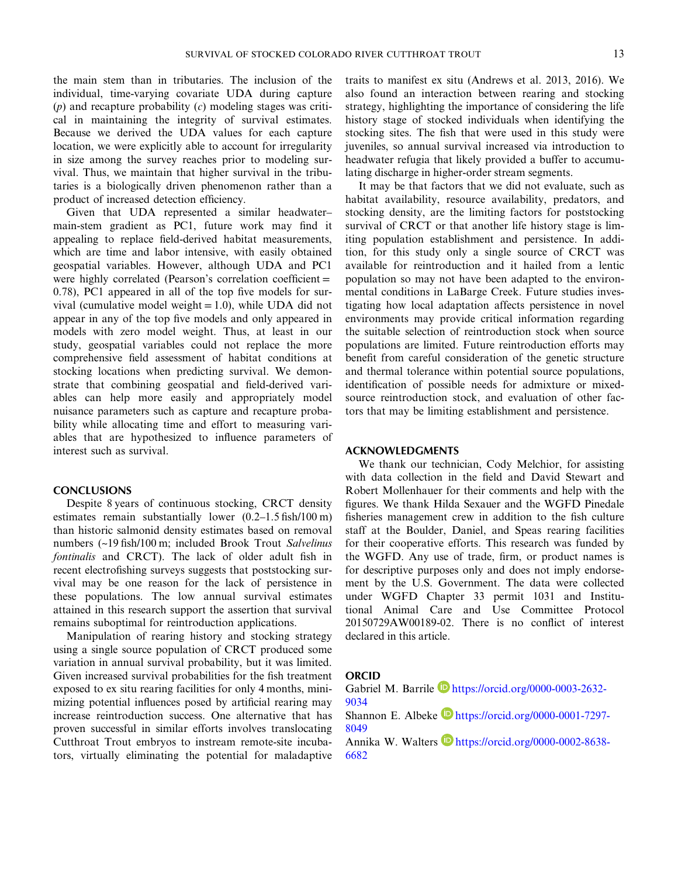the main stem than in tributaries. The inclusion of the individual, time-varying covariate UDA during capture (*p*) and recapture probability (*c*) modeling stages was critical in maintaining the integrity of survival estimates. Because we derived the UDA values for each capture location, we were explicitly able to account for irregularity in size among the survey reaches prior to modeling survival. Thus, we maintain that higher survival in the tributaries is a biologically driven phenomenon rather than a product of increased detection efficiency.

Given that UDA represented a similar headwater– main-stem gradient as PC1, future work may find it appealing to replace field-derived habitat measurements, which are time and labor intensive, with easily obtained geospatial variables. However, although UDA and PC1 were highly correlated (Pearson's correlation coefficient = 0.78), PC1 appeared in all of the top five models for survival (cumulative model weight  $= 1.0$ ), while UDA did not appear in any of the top five models and only appeared in models with zero model weight. Thus, at least in our study, geospatial variables could not replace the more comprehensive field assessment of habitat conditions at stocking locations when predicting survival. We demonstrate that combining geospatial and field-derived variables can help more easily and appropriately model nuisance parameters such as capture and recapture probability while allocating time and effort to measuring variables that are hypothesized to influence parameters of interest such as survival.

#### **CONCLUSIONS**

Despite 8 years of continuous stocking, CRCT density estimates remain substantially lower (0.2–1.5 fish/100 m) than historic salmonid density estimates based on removal numbers (~19 fish/100 m; included Brook Trout *Salvelinus fontinalis* and CRCT). The lack of older adult fish in recent electrofishing surveys suggests that poststocking survival may be one reason for the lack of persistence in these populations. The low annual survival estimates attained in this research support the assertion that survival remains suboptimal for reintroduction applications.

Manipulation of rearing history and stocking strategy using a single source population of CRCT produced some variation in annual survival probability, but it was limited. Given increased survival probabilities for the fish treatment exposed to ex situ rearing facilities for only 4 months, minimizing potential influences posed by artificial rearing may increase reintroduction success. One alternative that has proven successful in similar efforts involves translocating Cutthroat Trout embryos to instream remote-site incubators, virtually eliminating the potential for maladaptive traits to manifest ex situ (Andrews et al. 2013, 2016). We also found an interaction between rearing and stocking strategy, highlighting the importance of considering the life history stage of stocked individuals when identifying the stocking sites. The fish that were used in this study were juveniles, so annual survival increased via introduction to headwater refugia that likely provided a buffer to accumulating discharge in higher-order stream segments.

It may be that factors that we did not evaluate, such as habitat availability, resource availability, predators, and stocking density, are the limiting factors for poststocking survival of CRCT or that another life history stage is limiting population establishment and persistence. In addition, for this study only a single source of CRCT was available for reintroduction and it hailed from a lentic population so may not have been adapted to the environmental conditions in LaBarge Creek. Future studies investigating how local adaptation affects persistence in novel environments may provide critical information regarding the suitable selection of reintroduction stock when source populations are limited. Future reintroduction efforts may benefit from careful consideration of the genetic structure and thermal tolerance within potential source populations, identification of possible needs for admixture or mixedsource reintroduction stock, and evaluation of other factors that may be limiting establishment and persistence.

## **ACKNOWLEDGMENTS**

We thank our technician, Cody Melchior, for assisting with data collection in the field and David Stewart and Robert Mollenhauer for their comments and help with the figures. We thank Hilda Sexauer and the WGFD Pinedale fisheries management crew in addition to the fish culture staff at the Boulder, Daniel, and Speas rearing facilities for their cooperative efforts. This research was funded by the WGFD. Any use of trade, firm, or product names is for descriptive purposes only and does not imply endorsement by the U.S. Government. The data were collected under WGFD Chapter 33 permit 1031 and Institutional Animal Care and Use Committee Protocol 20150729AW00189-02. There is no conflict of interest declared in this article.

#### **ORCID**

Gabriel M. Barrile https://orcid.org/0000-0003-2632-9034

Shannon E. Albeke https://orcid.org/0000-0001-7297-8049

Annika W. Walters https://orcid.org/0000-0002-8638-6682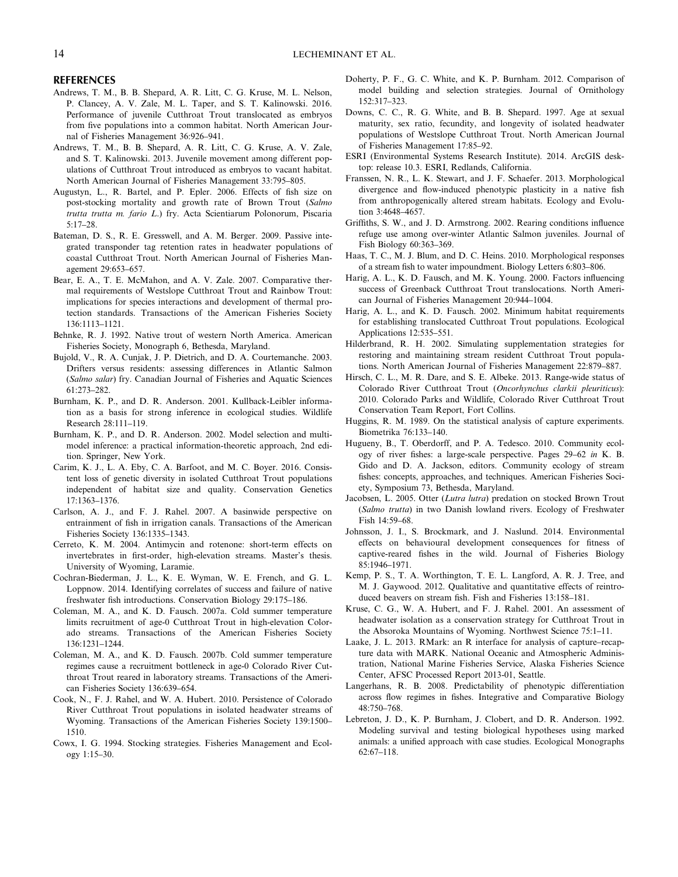#### **REFERENCES**

- Andrews, T. M., B. B. Shepard, A. R. Litt, C. G. Kruse, M. L. Nelson, P. Clancey, A. V. Zale, M. L. Taper, and S. T. Kalinowski. 2016. Performance of juvenile Cutthroat Trout translocated as embryos from five populations into a common habitat. North American Journal of Fisheries Management 36:926–941.
- Andrews, T. M., B. B. Shepard, A. R. Litt, C. G. Kruse, A. V. Zale, and S. T. Kalinowski. 2013. Juvenile movement among different populations of Cutthroat Trout introduced as embryos to vacant habitat. North American Journal of Fisheries Management 33:795–805.
- Augustyn, L., R. Bartel, and P. Epler. 2006. Effects of fish size on post-stocking mortality and growth rate of Brown Trout (*Salmo trutta trutta m. fario L*.) fry. Acta Scientiarum Polonorum, Piscaria 5:17–28.
- Bateman, D. S., R. E. Gresswell, and A. M. Berger. 2009. Passive integrated transponder tag retention rates in headwater populations of coastal Cutthroat Trout. North American Journal of Fisheries Management 29:653–657.
- Bear, E. A., T. E. McMahon, and A. V. Zale. 2007. Comparative thermal requirements of Westslope Cutthroat Trout and Rainbow Trout: implications for species interactions and development of thermal protection standards. Transactions of the American Fisheries Society 136:1113–1121.
- Behnke, R. J. 1992. Native trout of western North America. American Fisheries Society, Monograph 6, Bethesda, Maryland.
- Bujold, V., R. A. Cunjak, J. P. Dietrich, and D. A. Courtemanche. 2003. Drifters versus residents: assessing differences in Atlantic Salmon (*Salmo salar*) fry. Canadian Journal of Fisheries and Aquatic Sciences 61:273–282.
- Burnham, K. P., and D. R. Anderson. 2001. Kullback-Leibler information as a basis for strong inference in ecological studies. Wildlife Research 28:111–119.
- Burnham, K. P., and D. R. Anderson. 2002. Model selection and multimodel inference: a practical information-theoretic approach, 2nd edition. Springer, New York.
- Carim, K. J., L. A. Eby, C. A. Barfoot, and M. C. Boyer. 2016. Consistent loss of genetic diversity in isolated Cutthroat Trout populations independent of habitat size and quality. Conservation Genetics 17:1363–1376.
- Carlson, A. J., and F. J. Rahel. 2007. A basinwide perspective on entrainment of fish in irrigation canals. Transactions of the American Fisheries Society 136:1335–1343.
- Cerreto, K. M. 2004. Antimycin and rotenone: short-term effects on invertebrates in first-order, high-elevation streams. Master's thesis. University of Wyoming, Laramie.
- Cochran-Biederman, J. L., K. E. Wyman, W. E. French, and G. L. Loppnow. 2014. Identifying correlates of success and failure of native freshwater fish introductions. Conservation Biology 29:175–186.
- Coleman, M. A., and K. D. Fausch. 2007a. Cold summer temperature limits recruitment of age-0 Cutthroat Trout in high-elevation Colorado streams. Transactions of the American Fisheries Society 136:1231–1244.
- Coleman, M. A., and K. D. Fausch. 2007b. Cold summer temperature regimes cause a recruitment bottleneck in age-0 Colorado River Cutthroat Trout reared in laboratory streams. Transactions of the American Fisheries Society 136:639–654.
- Cook, N., F. J. Rahel, and W. A. Hubert. 2010. Persistence of Colorado River Cutthroat Trout populations in isolated headwater streams of Wyoming. Transactions of the American Fisheries Society 139:1500– 1510.
- Cowx, I. G. 1994. Stocking strategies. Fisheries Management and Ecology 1:15–30.
- Doherty, P. F., G. C. White, and K. P. Burnham. 2012. Comparison of model building and selection strategies. Journal of Ornithology 152:317–323.
- Downs, C. C., R. G. White, and B. B. Shepard. 1997. Age at sexual maturity, sex ratio, fecundity, and longevity of isolated headwater populations of Westslope Cutthroat Trout. North American Journal of Fisheries Management 17:85–92.
- ESRI (Environmental Systems Research Institute). 2014. ArcGIS desktop: release 10.3. ESRI, Redlands, California.
- Franssen, N. R., L. K. Stewart, and J. F. Schaefer. 2013. Morphological divergence and flow-induced phenotypic plasticity in a native fish from anthropogenically altered stream habitats. Ecology and Evolution 3:4648–4657.
- Griffiths, S. W., and J. D. Armstrong. 2002. Rearing conditions influence refuge use among over-winter Atlantic Salmon juveniles. Journal of Fish Biology 60:363–369.
- Haas, T. C., M. J. Blum, and D. C. Heins. 2010. Morphological responses of a stream fish to water impoundment. Biology Letters 6:803–806.
- Harig, A. L., K. D. Fausch, and M. K. Young. 2000. Factors influencing success of Greenback Cutthroat Trout translocations. North American Journal of Fisheries Management 20:944–1004.
- Harig, A. L., and K. D. Fausch. 2002. Minimum habitat requirements for establishing translocated Cutthroat Trout populations. Ecological Applications 12:535–551.
- Hilderbrand, R. H. 2002. Simulating supplementation strategies for restoring and maintaining stream resident Cutthroat Trout populations. North American Journal of Fisheries Management 22:879–887.
- Hirsch, C. L., M. R. Dare, and S. E. Albeke. 2013. Range-wide status of Colorado River Cutthroat Trout (*Oncorhynchus clarkii pleuriticus*): 2010. Colorado Parks and Wildlife, Colorado River Cutthroat Trout Conservation Team Report, Fort Collins.
- Huggins, R. M. 1989. On the statistical analysis of capture experiments. Biometrika 76:133–140.
- Hugueny, B., T. Oberdorff, and P. A. Tedesco. 2010. Community ecology of river fishes: a large-scale perspective. Pages 29–62 *in* K. B. Gido and D. A. Jackson, editors. Community ecology of stream fishes: concepts, approaches, and techniques. American Fisheries Society, Symposium 73, Bethesda, Maryland.
- Jacobsen, L. 2005. Otter (*Lutra lutra*) predation on stocked Brown Trout (*Salmo trutta*) in two Danish lowland rivers. Ecology of Freshwater Fish 14:59–68.
- Johnsson, J. I., S. Brockmark, and J. Naslund. 2014. Environmental effects on behavioural development consequences for fitness of captive-reared fishes in the wild. Journal of Fisheries Biology 85:1946–1971.
- Kemp, P. S., T. A. Worthington, T. E. L. Langford, A. R. J. Tree, and M. J. Gaywood. 2012. Qualitative and quantitative effects of reintroduced beavers on stream fish. Fish and Fisheries 13:158–181.
- Kruse, C. G., W. A. Hubert, and F. J. Rahel. 2001. An assessment of headwater isolation as a conservation strategy for Cutthroat Trout in the Absoroka Mountains of Wyoming. Northwest Science 75:1–11.
- Laake, J. L. 2013. RMark: an R interface for analysis of capture–recapture data with MARK. National Oceanic and Atmospheric Administration, National Marine Fisheries Service, Alaska Fisheries Science Center, AFSC Processed Report 2013-01, Seattle.
- Langerhans, R. B. 2008. Predictability of phenotypic differentiation across flow regimes in fishes. Integrative and Comparative Biology 48:750–768.
- Lebreton, J. D., K. P. Burnham, J. Clobert, and D. R. Anderson. 1992. Modeling survival and testing biological hypotheses using marked animals: a unified approach with case studies. Ecological Monographs 62:67–118.